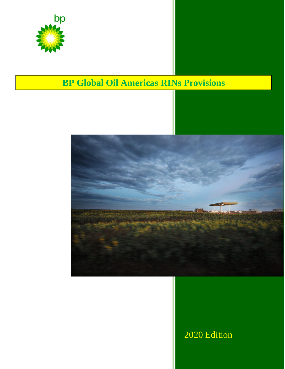

# **BP Global Oil Americas RINs Provisions**



## 2020 Edition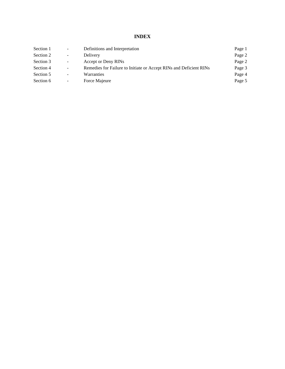**INDEX**

| Definitions and Interpretation                                     | Page 1 |
|--------------------------------------------------------------------|--------|
| Delivery                                                           | Page 2 |
| Accept or Deny RINs                                                | Page 2 |
| Remedies for Failure to Initiate or Accept RINs and Deficient RINs | Page 3 |
| Warranties                                                         | Page 4 |
| Force Majeure                                                      | Page 5 |
|                                                                    |        |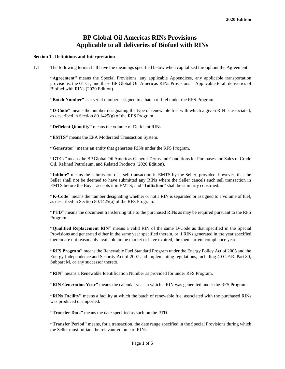### **BP Global Oil Americas RINs Provisions – Applicable to all deliveries of Biofuel with RINs**

#### **Section 1. Definitions and Interpretation**

1.1 The following terms shall have the meanings specified below when capitalized throughout the Agreement:

**"Agreement"** means the Special Provisions, any applicable Appendices, any applicable transportation provisions, the GTCs, and these BP Global Oil Americas RINs Provisions – Applicable to all deliveries of Biofuel with RINs (2020 Edition).

**"Batch Number"** is a serial number assigned to a batch of fuel under the RFS Program.

**"D-Code"** means the number designating the type of renewable fuel with which a given RIN is associated, as described in Section 80.1425(g) of the RFS Program.

**"Deficient Quantity"** means the volume of Deficient RINs.

**"EMTS"** means the EPA Moderated Transaction System.

**"Generator"** means an entity that generates RINs under the RFS Program.

**"GTCs"** means the BP Global Oil Americas General Terms and Conditions for Purchases and Sales of Crude Oil, Refined Petroleum, and Related Products (2020 Edition).

**"Initiate"** means the submission of a sell transaction in EMTS by the Seller, provided, however, that the Seller shall not be deemed to have submitted any RINs where the Seller cancels such sell transaction in EMTS before the Buyer accepts it in EMTS; and **"Initiation"** shall be similarly construed.

**"K-Code"** means the number designating whether or not a RIN is separated or assigned to a volume of fuel, as described in Section 80.1425(a) of the RFS Program.

**"PTD"** means the document transferring title to the purchased RINs as may be required pursuant to the RFS Program.

**"Qualified Replacement RIN"** means a valid RIN of the same D-Code as that specified in the Special Provisions and generated either in the same year specified therein, or if RINs generated in the year specified therein are not reasonably available in the market or have expired, the then current compliance year.

**"RFS Program"** means the Renewable Fuel Standard Program under the Energy Policy Act of 2005 and the Energy Independence and Security Act of 2007 and implementing regulations, including 40 C.F.R. Part 80, Subpart M, or any successor thereto.

**"RIN"** means a Renewable Identification Number as provided for under RFS Program.

**"RIN Generation Year"** means the calendar year in which a RIN was generated under the RFS Program.

**"RINs Facility"** means a facility at which the batch of renewable fuel associated with the purchased RINs was produced or imported.

**"Transfer Date"** means the date specified as such on the PTD.

**"Transfer Period"** means, for a transaction, the date range specified in the Special Provisions during which the Seller must Initiate the relevant volume of RINs.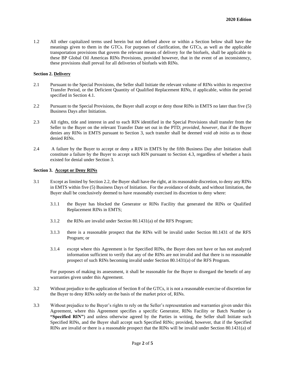1.2 All other capitalized terms used herein but not defined above or within a Section below shall have the meanings given to them in the GTCs. For purposes of clarification, the GTCs, as well as the applicable transportation provisions that govern the relevant means of delivery for the biofuels, shall be applicable to these BP Global Oil Americas RINs Provisions, provided however, that in the event of an inconsistency, these provisions shall prevail for all deliveries of biofuels with RINs.

#### **Section 2. Delivery**

- 2.1 Pursuant to the Special Provisions, the Seller shall Initiate the relevant volume of RINs within its respective Transfer Period, or the Deficient Quantity of Qualified Replacement RINs, if applicable, within the period specified in Section 4.1.
- 2.2 Pursuant to the Special Provisions, the Buyer shall accept or deny those RINs in EMTS no later than five (5) Business Days after Initiation.
- 2.3 All rights, title and interest in and to each RIN identified in the Special Provisions shall transfer from the Seller to the Buyer on the relevant Transfer Date set out in the PTD; *provided, however,* that if the Buyer denies any RINs in EMTS pursuant to Section 3, such transfer shall be deemed void *ab initio* as to those denied RINs.
- 2.4 A failure by the Buyer to accept or deny a RIN in EMTS by the fifth Business Day after Initiation shall constitute a failure by the Buyer to accept such RIN pursuant to Section 4.3, regardless of whether a basis existed for denial under Section 3.

#### **Section 3. Accept or Deny RINs**

- 3.1 Except as limited by Section 2.2, the Buyer shall have the right, at its reasonable discretion, to deny any RINs in EMTS within five (5) Business Days of Initiation. For the avoidance of doubt, and without limitation, the Buyer shall be conclusively deemed to have reasonably exercised its discretion to deny where:
	- 3.1.1 the Buyer has blocked the Generator or RINs Facility that generated the RINs or Qualified Replacement RINs in EMTS;
	- 3.1.2 the RINs are invalid under Section 80.1431(a) of the RFS Program;
	- 3.1.3 there is a reasonable prospect that the RINs will be invalid under Section 80.1431 of the RFS Program; or
	- 3.1.4 except where this Agreement is for Specified RINs, the Buyer does not have or has not analyzed information sufficient to verify that any of the RINs are not invalid and that there is no reasonable prospect of such RINs becoming invalid under Section 80.1431(a) of the RFS Program.

For purposes of making its assessment, it shall be reasonable for the Buyer to disregard the benefit of any warranties given under this Agreement.

- 3.2 Without prejudice to the application of Section 8 of the GTCs, it is not a reasonable exercise of discretion for the Buyer to deny RINs solely on the basis of the market price of, RINs.
- 3.3 Without prejudice to the Buyer's rights to rely on the Seller's representation and warranties given under this Agreement, where this Agreement specifies a specific Generator, RINs Facility or Batch Number (a **"Specified RIN"**) and unless otherwise agreed by the Parties in writing, the Seller shall Initiate such Specified RINs, and the Buyer shall accept such Specified RINs; provided, however, that if the Specified RINs are invalid or there is a reasonable prospect that the RINs will be invalid under Section 80.1431(a) of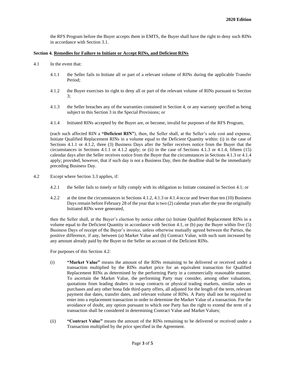the RFS Program before the Buyer accepts them in EMTS, the Buyer shall have the right to deny such RINs in accordance with Section 3.1.

#### **Section 4. Remedies for Failure to Initiate or Accept RINs, and Deficient RINs**

- 4.1 In the event that:
	- 4.1.1 the Seller fails to Initiate all or part of a relevant volume of RINs during the applicable Transfer Period;
	- 4.1.2 the Buyer exercises its right to deny all or part of the relevant volume of RINs pursuant to Section  $\mathcal{F}$
	- 4.1.3 the Seller breaches any of the warranties contained in Section 4, or any warranty specified as being subject to this Section 3 in the Special Provisions; or
	- 4.1.4 Initiated RINs accepted by the Buyer are, or become, invalid for purposes of the RFS Program,

(each such affected RIN a **"Deficient RIN"**), then, the Seller shall, at the Seller's sole cost and expense, Initiate Qualified Replacement RINs in a volume equal to the Deficient Quantity within: (i) in the case of Sections 4.1.1 or 4.1.2, three (3) Business Days after the Seller receives notice from the Buyer that the circumstances in Sections 4.1.1 or 4.1.2 apply; or (ii) in the case of Sections 4.1.3 or 4.1.4, fifteen (15) calendar days after the Seller receives notice from the Buyer that the circumstances in Sections 4.1.3 or 4.1.4 apply; provided, however, that if such day is not a Business Day, then the deadline shall be the immediately preceding Business Day.

- 4.2 Except where Section 3.3 applies, if:
	- 4.2.1 the Seller fails to timely or fully comply with its obligation to Initiate contained in Section 4.1; or
	- 4.2.2 at the time the circumstances in Sections 4.1.2, 4.1.3 or 4.1.4 occur and fewer than ten (10) Business Days remain before February 28 of the year that is two (2) calendar years after the year the originally Initiated RINs were generated,

then the Seller shall, at the Buyer's election by notice either (a) Initiate Qualified Replacement RINs in a volume equal to the Deficient Quantity in accordance with Section 4.1, or (b) pay the Buyer within five (5) Business Days of receipt of the Buyer's invoice, unless otherwise mutually agreed between the Parties, the positive difference, if any, between (a) Market Value and (b) Contract Value, with such sum increased by any amount already paid by the Buyer to the Seller on account of the Deficient RINs.

For purposes of this Section 4.2:

- (i) **"Market Value"** means the amount of the RINs remaining to be delivered or received under a transaction multiplied by the RINs market price for an equivalent transaction for Qualified Replacement RINs as determined by the performing Party in a commercially reasonable manner. To ascertain the Market Value, the performing Party may consider, among other valuations, quotations from leading dealers in swap contracts or physical trading markets, similar sales or purchases and any other bona fide third-party offers, all adjusted for the length of the term, relevant payment due dates, transfer dates, and relevant volume of RINs. A Party shall not be required to enter into a replacement transaction in order to determine the Market Value of a transaction. For the avoidance of doubt, any option pursuant to which one Party has the right to extend the term of a transaction shall be considered in determining Contract Value and Market Values;
- (ii) **"Contract Value"** means the amount of the RINs remaining to be delivered or received under a Transaction multiplied by the price specified in the Agreement.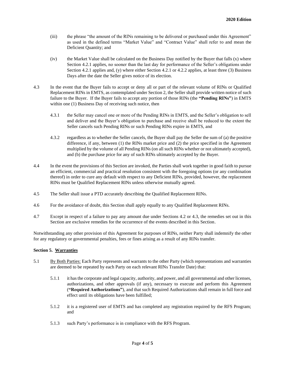- (iii) the phrase "the amount of the RINs remaining to be delivered or purchased under this Agreement" as used in the defined terms "Market Value" and "Contract Value" shall refer to and mean the Deficient Quantity; and
- (iv) the Market Value shall be calculated on the Business Day notified by the Buyer that falls (x) where Section 4.2.1 applies, no sooner than the last day for performance of the Seller's obligations under Section 4.2.1 applies and, (y) where either Section 4.2.1 or 4.2.2 applies, at least three (3) Business Days after the date the Seller gives notice of its election.
- 4.3 In the event that the Buyer fails to accept or deny all or part of the relevant volume of RINs or Qualified Replacement RINs in EMTS, as contemplated under Section 2, the Seller shall provide written notice of such failure to the Buyer. If the Buyer fails to accept any portion of those RINs (the **"Pending RINs"**) in EMTS within one (1) Business Day of receiving such notice, then
	- 4.3.1 the Seller may cancel one or more of the Pending RINs in EMTS, and the Seller's obligation to sell and deliver and the Buyer's obligation to purchase and receive shall be reduced to the extent the Seller cancels such Pending RINs or such Pending RINs expire in EMTS, and
	- 4.3.2 regardless as to whether the Seller cancels, the Buyer shall pay the Seller the sum of (a) the positive difference, if any, between (1) the RINs market price and (2) the price specified in the Agreement multiplied by the volume of all Pending RINs (on all such RINs whether or not ultimately accepted), and (b) the purchase price for any of such RINs ultimately accepted by the Buyer.
- 4.4 In the event the provisions of this Section are invoked, the Parties shall work together in good faith to pursue an efficient, commercial and practical resolution consistent with the foregoing options (or any combination thereof) in order to cure any default with respect to any Deficient RINs, provided, however, the replacement RINs must be Qualified Replacement RINs unless otherwise mutually agreed.
- 4.5 The Seller shall issue a PTD accurately describing the Qualified Replacement RINs.
- 4.6 For the avoidance of doubt, this Section shall apply equally to any Qualified Replacement RINs.
- 4.7 Except in respect of a failure to pay any amount due under Sections 4.2 or 4.3, the remedies set out in this Section are exclusive remedies for the occurrence of the events described in this Section.

Notwithstanding any other provision of this Agreement for purposes of RINs, neither Party shall indemnify the other for any regulatory or governmental penalties, fees or fines arising as a result of any RINs transfer.

#### **Section 5. Warranties**

- 5.1 By Both Parties: Each Party represents and warrants to the other Party (which representations and warranties are deemed to be repeated by each Party on each relevant RINs Transfer Date) that:
	- 5.1.1 it has the corporate and legal capacity, authority, and power, and all governmental and other licenses, authorizations, and other approvals (if any), necessary to execute and perform this Agreement (**"Required Authorizations"**), and that such Required Authorizations shall remain in full force and effect until its obligations have been fulfilled;
	- 5.1.2 it is a registered user of EMTS and has completed any registration required by the RFS Program; and
	- 5.1.3 such Party's performance is in compliance with the RFS Program.